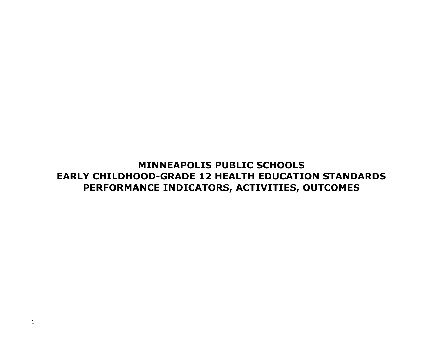## **MINNEAPOLIS PUBLIC SCHOOLS EARLY CHILDHOOD-GRADE 12 HEALTH EDUCATION STANDARDS PERFORMANCE INDICATORS, ACTIVITIES, OUTCOMES**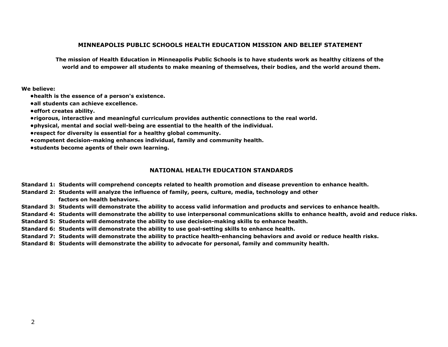#### **MINNEAPOLIS PUBLIC SCHOOLS HEALTH EDUCATION MISSION AND BELIEF STATEMENT**

**The mission of Health Education in Minneapolis Public Schools is to have students work as healthy citizens of the world and to empower all students to make meaning of themselves, their bodies, and the world around them.**

#### **We believe:**

- **•health is the essence of a person's existence.**
- **•all students can achieve excellence.**
- **•effort creates ability.**
- **•rigorous, interactive and meaningful curriculum provides authentic connections to the real world.**
- **•physical, mental and social well-being are essential to the health of the individual.**
- **•respect for diversity is essential for a healthy global community.**
- **•competent decision-making enhances individual, family and community health.**
- **•students become agents of their own learning.**

#### **NATIONAL HEALTH EDUCATION STANDARDS**

- **Standard 1: Students will comprehend concepts related to health promotion and disease prevention to enhance health.**
- **Standard 2: Students will analyze the influence of family, peers, culture, media, technology and other factors on health behaviors.**
- **Standard 3: Students will demonstrate the ability to access valid information and products and services to enhance health.**
- **Standard 4: Students will demonstrate the ability to use interpersonal communications skills to enhance health, avoid and reduce risks.**
- **Standard 5: Students will demonstrate the ability to use decision-making skills to enhance health.**
- **Standard 6: Students will demonstrate the ability to use goal-setting skills to enhance health.**
- **Standard 7: Students will demonstrate the ability to practice health-enhancing behaviors and avoid or reduce health risks.**
- **Standard 8: Students will demonstrate the ability to advocate for personal, family and community health.**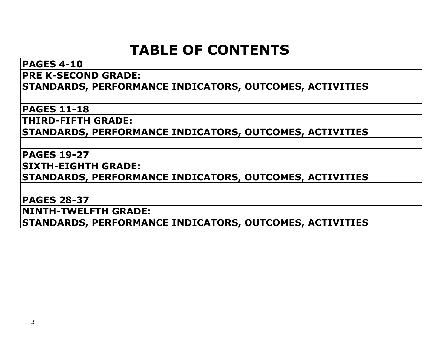## **TABLE OF CONTENTS**

## **PAGES 4-10 PRE K-SECOND GRADE: STANDARDS, PERFORMANCE INDICATORS, OUTCOMES, ACTIVITIES**

**PAGES 11-18**

**THIRD-FIFTH GRADE:** 

**STANDARDS, PERFORMANCE INDICATORS, OUTCOMES, ACTIVITIES**

### **PAGES 19-27**

**SIXTH-EIGHTH GRADE:** 

**STANDARDS, PERFORMANCE INDICATORS, OUTCOMES, ACTIVITIES**

### **PAGES 28-37**

**NINTH-TWELFTH GRADE:** 

**STANDARDS, PERFORMANCE INDICATORS, OUTCOMES, ACTIVITIES**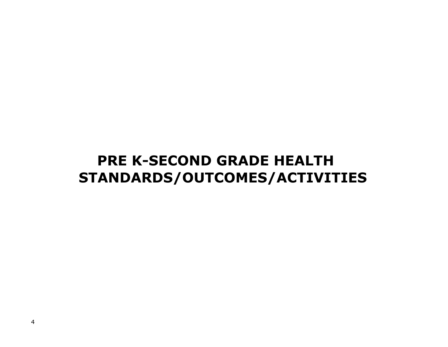## **PRE K-SECOND GRADE HEALTH STANDARDS/OUTCOMES/ACTIVITIES**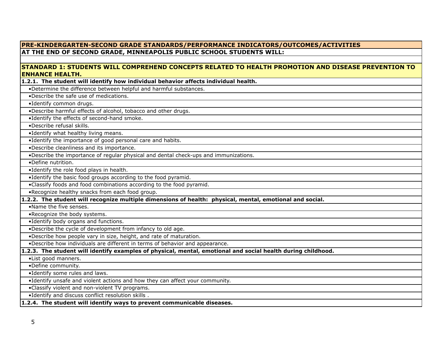#### **PRE-KINDERGARTEN-SECOND GRADE STANDARDS/PERFORMANCE INDICATORS/OUTCOMES/ACTIVITIES AT THE END OF SECOND GRADE, MINNEAPOLIS PUBLIC SCHOOL STUDENTS WILL: STANDARD 1: STUDENTS WILL COMPREHEND CONCEPTS RELATED TO HEALTH PROMOTION AND DISEASE PREVENTION TO ENHANCE HEALTH. 1.2.1. The student will identify how individual behavior affects individual health.**  •Determine the difference between helpful and harmful substances. •Describe the safe use of medications. •Identify common drugs. •Describe harmful effects of alcohol, tobacco and other drugs. •Identify the effects of second-hand smoke. •Describe refusal skills. •Identify what healthy living means. •Identify the importance of good personal care and habits. •Describe cleanliness and its importance. •Describe the importance of regular physical and dental check-ups and immunizations. •Define nutrition. •Identify the role food plays in health. •Identify the basic food groups according to the food pyramid. •Classify foods and food combinations according to the food pyramid. •Recognize healthy snacks from each food group. **1.2.2. The student will recognize multiple dimensions of health: physical, mental, emotional and social.** •Name the five senses. •Recognize the body systems. •Identify body organs and functions. •Describe the cycle of development from infancy to old age. •Describe how people vary in size, height, and rate of maturation. •Describe how individuals are different in terms of behavior and appearance. **1.2.3. The student will identify examples of physical, mental, emotional and social health during childhood.** •List good manners. •Define community. •Identify some rules and laws. •Identify unsafe and violent actions and how they can affect your community. •Classify violent and non-violent TV programs. •Identify and discuss conflict resolution skills . **1.2.4. The student will identify ways to prevent communicable diseases.**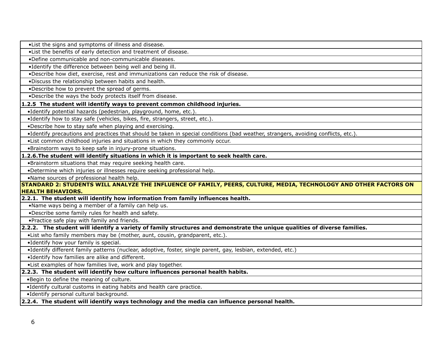•List the signs and symptoms of illness and disease.

•List the benefits of early detection and treatment of disease.

•Define communicable and non-communicable diseases.

•Identify the difference between being well and being ill.

•Describe how diet, exercise, rest and immunizations can reduce the risk of disease.

•Discuss the relationship between habits and health.

•Describe how to prevent the spread of germs.

•Describe the ways the body protects itself from disease.

**1.2.5 The student will identify ways to prevent common childhood injuries.**

•Identify potential hazards (pedestrian, playground, home, etc.).

•Identify how to stay safe (vehicles, bikes, fire, strangers, street, etc.).

•Describe how to stay safe when playing and exercising.

•Identify precautions and practices that should be taken in special conditions (bad weather, strangers, avoiding conflicts, etc.).

•List common childhood injuries and situations in which they commonly occur.

•Brainstorm ways to keep safe in injury-prone situations.

**1.2.6.The student will identify situations in which it is important to seek health care.**

•Brainstorm situations that may require seeking health care.

•Determine which injuries or illnesses require seeking professional help.

•Name sources of professional health help.

**STANDARD 2: STUDENTS WILL ANALYZE THE INFLUENCE OF FAMILY, PEERS, CULTURE, MEDIA, TECHNOLOGY AND OTHER FACTORS ON HEALTH BEHAVIORS.**

**2.2.1. The student will identify how information from family influences health.**

•Name ways being a member of a family can help us.

•Describe some family rules for health and safety.

•Practice safe play with family and friends.

**2.2.2. The student will identify a variety of family structures and demonstrate the unique qualities of diverse families.**

•List who family members may be (mother, aunt, cousin, grandparent, etc.).

•Identify how your family is special.

•Identify different family patterns (nuclear, adoptive, foster, single parent, gay, lesbian, extended, etc.)

•Identify how families are alike and different.

•List examples of how families live, work and play together.

**2.2.3. The student will identify how culture influences personal health habits.**

•Begin to define the meaning of culture.

•Identify cultural customs in eating habits and health care practice.

•Identify personal cultural background.

**2.2.4. The student will identify ways technology and the media can influence personal health.**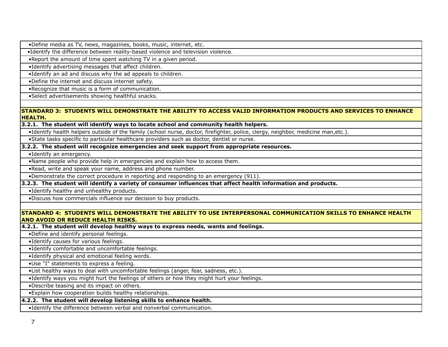•Define media as TV, news, magazines, books, music, internet, etc.

•Identify the difference between reality-based violence and television violence.

•Report the amount of time spent watching TV in a given period.

•Identify advertising messages that affect children.

•Identify an ad and discuss why the ad appeals to children.

•Define the internet and discuss internet safety.

•Recognize that music is a form of communication.

•Select advertisements showing healthful snacks.

#### **STANDARD 3: STUDENTS WILL DEMONSTRATE THE ABILITY TO ACCESS VALID INFORMATION PRODUCTS AND SERVICES TO ENHANCE HEALTH.**

#### **3.2.1. The student will identify ways to locate school and community health helpers.**

•Identify health helpers outside of the family (school nurse, doctor, firefighter, police, clergy, neighbor, medicine man,etc.).

•State tasks specific to particular healthcare providers such as doctor, dentist or nurse.

#### **3.2.2. The student will recognize emergencies and seek support from appropriate resources.**

•Identify an emergency.

•Name people who provide help in emergencies and explain how to access them.

•Read, write and speak your name, address and phone number.

•Demonstrate the correct procedure in reporting and responding to an emergency (911).

#### **3.2.3. The student will identify a variety of consumer influences that affect health information and products.**

•Identify healthy and unhealthy products.

•Discuss how commercials influence our decision to buy products.

#### **STANDARD 4: STUDENTS WILL DEMONSTRATE THE ABILITY TO USE INTERPERSONAL COMMUNICATION SKILLS TO ENHANCE HEALTH AND AVOID OR REDUCE HEALTH RISKS.**

**4.2.1. The student will develop healthy ways to express needs, wants and feelings.**

•Define and identify personal feelings.

•Identify causes for various feelings.

•Identify comfortable and uncomfortable feelings.

•Identify physical and emotional feeling words.

•Use "I" statements to express a feeling.

•List healthy ways to deal with uncomfortable feelings (anger, fear, sadness, etc.).

•Identify ways you might hurt the feelings of others or how they might hurt your feelings.

•Describe teasing and its impact on others.

•Explain how cooperation builds healthy relationships.

#### **4.2.2. The student will develop listening skills to enhance health.**

•Identify the difference between verbal and nonverbal communication.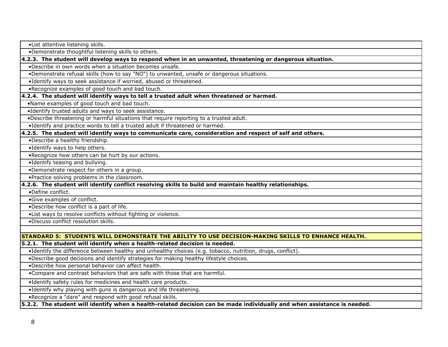•List attentive listening skills.

•Demonstrate thoughtful listening skills to others.

**4.2.3. The student will develop ways to respond when in an unwanted, threatening or dangerous situation.**

•Describe in own words when a situation becomes unsafe.

•Demonstrate refusal skills (how to say "NO") to unwanted, unsafe or dangerous situations.

•Identify ways to seek assistance if worried, abused or threatened.

•Recognize examples of good touch and bad touch.

#### **4.2.4. The student will identify ways to tell a trusted adult when threatened or harmed.**

•Name examples of good touch and bad touch.

•Identify trusted adults and ways to seek assistance.

•Describe threatening or harmful situations that require reporting to a trusted adult.

•Identify and practice words to tell a trusted adult if threatened or harmed.

**4.2.5. The student will identify ways to communicate care, consideration and respect of self and others.**

•Describe a healthy friendship.

•Identify ways to help others.

•Recognize how others can be hurt by our actions.

•Identify teasing and bullying.

•Demonstrate respect for others in a group.

•Practice solving problems in the classroom.

#### **4.2.6. The student will identify conflict resolving skills to build and maintain healthy relationships.**

•Define conflict.

•Give examples of conflict.

•Describe how conflict is a part of life.

•List ways to resolve conflicts without fighting or violence.

•Discuss conflict resolution skills.

#### **STANDARD 5: STUDENTS WILL DEMONSTRATE THE ABILITY TO USE DECISION-MAKING SKILLS TO ENHANCE HEALTH.**

**5.2.1. The student will identify when a health-related decision is needed.** 

•Identify the difference between healthy and unhealthy choices (e.g. tobacco, nutrition, drugs, conflict).

•Describe good decisions and identify strategies for making healthy lifestyle choices.

•Describe how personal behavior can affect health.

•Compare and contrast behaviors that are safe with those that are harmful.

•Identify safety rules for medicines and health care products.

•Identify why playing with guns is dangerous and life threatening.

•Recognize a "dare" and respond with good refusal skills.

**5.2.2. The student will identify when a health-related decision can be made individually and when assistance is needed.**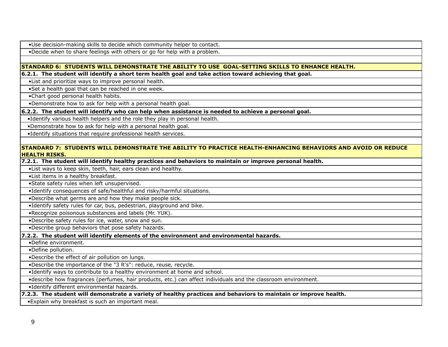•Use decision-making skills to decide which community helper to contact.

•Decide when to share feelings with others or go for help with a problem.

#### **STANDARD 6: STUDENTS WILL DEMONSTRATE THE ABILITY TO USE GOAL-SETTING SKILLS TO ENHANCE HEALTH.**

**6.2.1. The student will identify a short term health goal and take action toward achieving that goal.**

•List and prioritize ways to improve personal health.

•Set a health goal that can be reached in one week.

•Chart good personal health habits.

•Demonstrate how to ask for help with a personal health goal.

**6.2.2. The student will identify who can help when assistance is needed to achieve a personal goal.**

•Identify various health helpers and the role they play in personal health.

•Demonstrate how to ask for help with a personal health goal.

•Identify situations that require professional health services.

#### **STANDARD 7: STUDENTS WILL DEMONSTRATE THE ABILITY TO PRACTICE HEALTH-ENHANCING BEHAVIORS AND AVOID OR REDUCE HEALTH RISKS.**

**7.2.1. The student will identify healthy practices and behaviors to maintain or improve personal health.**

•List ways to keep skin, teeth, hair, ears clean and healthy.

•List items in a healthy breakfast.

•State safety rules when left unsupervised.

•Identify consequences of safe/healthful and risky/harmful situations.

•Describe what germs are and how they make people sick.

•Identify safety rules for car, bus, pedestrian, playground and bike.

•Recognize poisonous substances and labels (Mr. YUK).

•Describe safety rules for ice, water, snow and sun.

•Describe group behaviors that pose safety hazards.

#### **7.2.2. The student will identify elements of the environment and environmental hazards.**

•Define environment.

•Define pollution.

•Describe the effect of air pollution on lungs.

•Describe the importance of the "3 R's": reduce, reuse, recycle.

•Identify ways to contribute to a healthy environment at home and school.

•describe how fragrances (perfumes, hair products, etc.) can affect individuals and the classroom environment.

•Identify different environmental hazards.

#### **7.2.3. The student will demonstrate a variety of healthy practices and behaviors to maintain or improve health.**

•Explain why breakfast is such an important meal.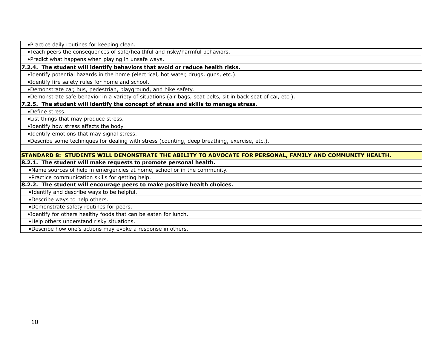•Practice daily routines for keeping clean.

•Teach peers the consequences of safe/healthful and risky/harmful behaviors.

•Predict what happens when playing in unsafe ways.

#### **7.2.4. The student will identify behaviors that avoid or reduce health risks.**

•Identify potential hazards in the home (electrical, hot water, drugs, guns, etc.).

•Identify fire safety rules for home and school.

•Demonstrate car, bus, pedestrian, playground, and bike safety.

•Demonstrate safe behavior in a variety of situations (air bags, seat belts, sit in back seat of car, etc.).

#### **7.2.5. The student will identify the concept of stress and skills to manage stress.**

•Define stress.

•List things that may produce stress.

•Identify how stress affects the body.

•Identify emotions that may signal stress.

•Describe some techniques for dealing with stress (counting, deep breathing, exercise, etc.).

#### **STANDARD 8: STUDENTS WILL DEMONSTRATE THE ABILITY TO ADVOCATE FOR PERSONAL, FAMILY AND COMMUNITY HEALTH.**

#### **8.2.1. The student will make requests to promote personal health.**

•Name sources of help in emergencies at home, school or in the community.

•Practice communication skills for getting help.

#### **8.2.2. The student will encourage peers to make positive health choices.**

•Identify and describe ways to be helpful.

•Describe ways to help others.

•Demonstrate safety routines for peers.

•Identify for others healthy foods that can be eaten for lunch.

•Help others understand risky situations.

•Describe how one's actions may evoke a response in others.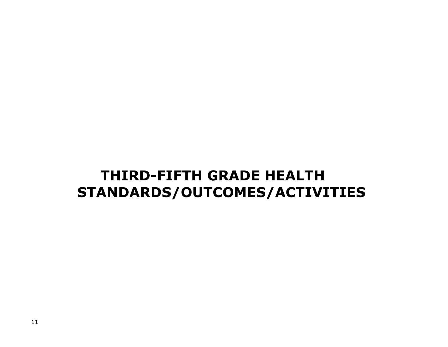# **THIRD-FIFTH GRADE HEALTH STANDARDS/OUTCOMES/ACTIVITIES**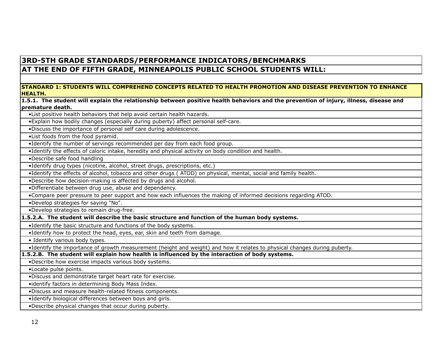### **3RD-5TH GRADE STANDARDS/PERFORMANCE INDICATORS/BENCHMARKS AT THE END OF FIFTH GRADE, MINNEAPOLIS PUBLIC SCHOOL STUDENTS WILL:**

#### **STANDARD 1: STUDENTS WILL COMPREHEND CONCEPTS RELATED TO HEALTH PROMOTION AND DISEASE PREVENTION TO ENHANCE HEALTH.**

**1.5.1. The student will explain the relationship between positive health behaviors and the prevention of injury, illness, disease and premature death.**

•List positive health behaviors that help avoid certain health hazards.

•Explain how bodily changes (especially during puberty) affect personal self-care.

•Discuss the importance of personal self care during adolescence.

•List foods from the food pyramid.

•Identify the number of servings recommended per day from each food group.

•Identify the effects of caloric intake, heredity and physical activity on body condition and health.

•Describe safe food handling

•Identify drug types (nicotine, alcohol, street drugs, prescriptions, etc.)

•Identify the effects of alcohol, tobacco and other drugs ( ATOD) on physical, mental, social and family health.

•Describe how decision-making is affected by drugs and alcohol.

•Differentiate between drug use, abuse and dependency.

•Compare peer pressure to peer support and how each influences the making of informed decisions regarding ATOD.

•Develop strategies for saying "No".

•Develop strategies to remain drug-free.

**1.5.2.A. The student will describe the basic structure and function of the human body systems.**

•Identify the basic structure and functions of the body systems.

•Identify how to protect the head, eyes, ear, skin and teeth from damage.

• Identify various body types.

•Identify the importance of growth measurement (height and weight) and how it relates to physical changes during puberty.

**1.5.2.B. The student will explain how health is influenced by the interaction of body systems.**

•Describe how exercise impacts various body systems.

•Locate pulse points.

•Discuss and demonstrate target heart rate for exercise.

•identify factors in determining Body Mass Index.

•Discuss and measure health-related fitness components.

•Identify biological differences between boys and girls.

•Describe physical changes that occur during puberty.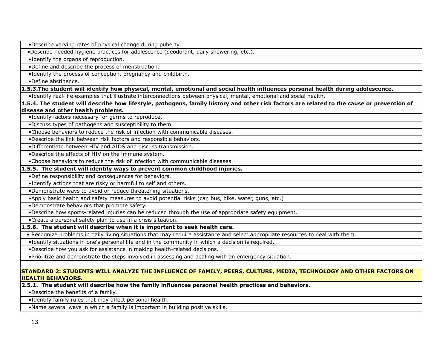•Describe varying rates of physical change during puberty.

•Describe needed hygiene practices for adolescence (deodorant, daily showering, etc.).

•Identify the organs of reproduction.

•Define and describe the process of menstruation.

•Identify the process of conception, pregnancy and childbirth.

•Define abstinence.

**1.5.3.The student will identify how physical, mental, emotional and social health influences personal health during adolescence.**

•Identify real-life examples that illustrate interconnections between physical, mental, emotional and social health.

**1.5.4. The student will describe how lifestyle, pathogens, family history and other risk factors are related to the cause or prevention of disease and other health problems.**

•Identify factors necessary for germs to reproduce.

•Discuss types of pathogens and susceptibility to them.

•Choose behaviors to reduce the risk of infection with communicable diseases.

•Describe the link between risk factors and responsible behaviors.

•Differentiate between HIV and AIDS and discuss transmission.

•Describe the effects of HIV on the immune system.

•Choose behaviors to reduce the risk of infection with communicable diseases.

#### **1.5.5. The student will identify ways to prevent common childhood injuries.**

•Define responsibility and consequences for behaviors.

•Identify actions that are risky or harmful to self and others.

•Demonstrate ways to avoid or reduce threatening situations.

•Apply basic health and safety measures to avoid potential risks (car, bus, bike, water, guns, etc.)

•Demonstrate behaviors that promote safety.

•Describe how sports-related injuries can be reduced through the use of appropriate safety equipment.

•Create a personal safety plan to use in a crisis situation.

**1.5.6. The student will describe when it is important to seek health care.**

• Recognize problems in daily living situations that may require assistance and select appropriate resources to deal with them.

•Identify situations in one's personal life and in the community in which a decision is required.

•Describe how you ask for assistance in making health-related decisions.

•Prioritize and demonstrate the steps involved in assessing and dealing with an emergency situation.

#### **STANDARD 2: STUDENTS WILL ANALYZE THE INFLUENCE OF FAMILY, PEERS, CULTURE, MEDIA, TECHNOLOGY AND OTHER FACTORS ON HEALTH BEHAVIORS.**

**2.5.1. The student will describe how the family influences personal health practices and behaviors.**

•Describe the benefits of a family.

•Identify family rules that may affect personal health.

•Name several ways in which a family is important in building positive skills.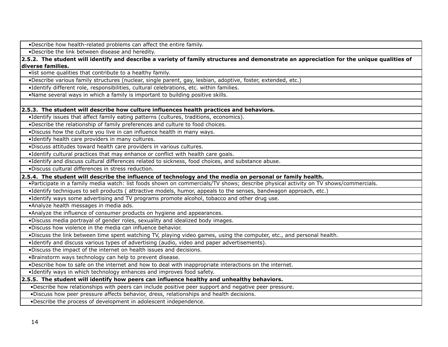•Describe how health-related problems can affect the entire family.

•Describe the link between disease and heredity.

**2.5.2. The student will identify and describe a variety of family structures and demonstrate an appreciation for the unique qualities of diverse families.**

•list some qualities that contribute to a healthy family.

•Describe various family structures (nuclear, single parent, gay, lesbian, adoptive, foster, extended, etc.)

•Identify different role, responsibilities, cultural celebrations, etc. within families.

•Name several ways in which a family is important to building positive skills.

#### **2.5.3. The student will describe how culture influences health practices and behaviors.**

•Identify issues that affect family eating patterns (cultures, traditions, economics).

•Describe the relationship of family preferences and culture to food choices.

•Discuss how the culture you live in can influence health in many ways.

•Identify health care providers in many cultures.

•Discuss attitudes toward health care providers in various cultures.

•Identify cultural practices that may enhance or conflict with health care goals.

•Identify and discuss cultural differences related to sickness, food choices, and substance abuse.

•Discuss cultural differences in stress reduction.

**2.5.4. The student will describe the influence of technology and the media on personal or family health.** 

•Participate in a family media watch: list foods shown on commercials/TV shows; describe physical activity on TV shows/commercials.

•Identify techniques to sell products ( attractive models, humor, appeals to the senses, bandwagon approach, etc.)

•Identify ways some advertising and TV programs promote alcohol, tobacco and other drug use.

•Analyze health messages in media ads.

•Analyze the influence of consumer products on hygiene and appearances.

•Discuss media portrayal of gender roles, sexuality and idealized body images.

•Discuss how violence in the media can influence behavior.

•Discuss the link between time spent watching TV, playing video games, using the computer, etc., and personal health.

•Identify and discuss various types of advertising (audio, video and paper advertisements).

•Discuss the impact of the internet on health issues and decisions.

•Brainstorm ways technology can help to prevent disease.

•Describe how to safe on the internet and how to deal with inappropriate interactions on the internet.

•Identify ways in which technology enhances and improves food safety.

#### **2.5.5. The student will identify how peers can influence healthy and unhealthy behaviors.**

•Describe how relationships with peers can include positive peer support and negative peer pressure.

•Discuss how peer pressure affects behavior, dress, relationships and health decisions.

•Describe the process of development in adolescent independence.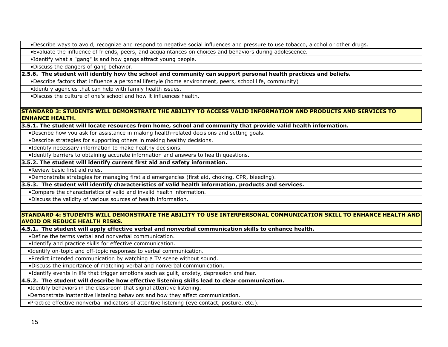•Describe ways to avoid, recognize and respond to negative social influences and pressure to use tobacco, alcohol or other drugs.

•Evaluate the influence of friends, peers, and acquaintances on choices and behaviors during adolescence.

•Identify what a "gang" is and how gangs attract young people.

•Discuss the dangers of gang behavior.

**2.5.6. The student will identify how the school and community can support personal health practices and beliefs.**

•Describe factors that influence a personal lifestyle (home environment, peers, school life, community)

•Identify agencies that can help with family health issues.

•Discuss the culture of one's school and how it influences health.

#### **STANDARD 3: STUDENTS WILL DEMONSTRATE THE ABILITY TO ACCESS VALID INFORMATION AND PRODUCTS AND SERVICES TO ENHANCE HEALTH.**

**3.5.1. The student will locate resources from home, school and community that provide valid health information.**

•Describe how you ask for assistance in making health-related decisions and setting goals.

•Describe strategies for supporting others in making healthy decisions.

•Identify necessary information to make healthy decisions.

•Identify barriers to obtaining accurate information and answers to health questions.

#### **3.5.2. The student will identify current first aid and safety information.**

•Review basic first aid rules.

•Demonstrate strategies for managing first aid emergencies (first aid, choking, CPR, bleeding).

#### **3.5.3. The student will identify characteristics of valid health information, products and services.**

•Compare the characteristics of valid and invalid health information.

•Discuss the validity of various sources of health information.

#### **STANDARD 4: STUDENTS WILL DEMONSTRATE THE ABILITY TO USE INTERPERSONAL COMMUNICATION SKILL TO ENHANCE HEALTH AND AVOID OR REDUCE HEALTH RISKS.**

**4.5.1. The student will apply effective verbal and nonverbal communication skills to enhance health.**

•Define the terms verbal and nonverbal communication.

•Identify and practice skills for effective communication.

•Identify on-topic and off-topic responses to verbal communication.

•Predict intended communication by watching a TV scene without sound.

•Discuss the importance of matching verbal and nonverbal communication.

•Identify events in life that trigger emotions such as guilt, anxiety, depression and fear.

#### **4.5.2. The student will describe how effective listening skills lead to clear communication.**

•Identify behaviors in the classroom that signal attentive listening.

•Demonstrate inattentive listening behaviors and how they affect communication.

•Practice effective nonverbal indicators of attentive listening (eye contact, posture, etc.).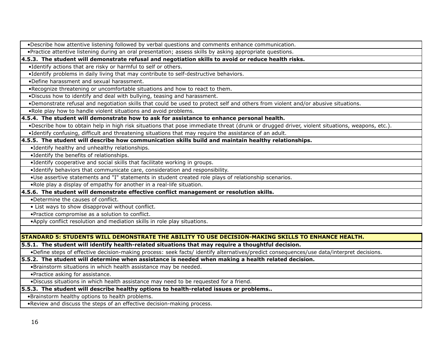•Describe how attentive listening followed by verbal questions and comments enhance communication.

•Practice attentive listening during an oral presentation; assess skills by asking appropriate questions.

**4.5.3. The student will demonstrate refusal and negotiation skills to avoid or reduce health risks.**

•Identify actions that are risky or harmful to self or others.

•Identify problems in daily living that may contribute to self-destructive behaviors.

•Define harassment and sexual harassment.

•Recognize threatening or uncomfortable situations and how to react to them.

•Discuss how to identify and deal with bullying, teasing and harassment.

•Demonstrate refusal and negotiation skills that could be used to protect self and others from violent and/or abusive situations.

•Role play how to handle violent situations and avoid problems.

#### **4.5.4. The student will demonstrate how to ask for assistance to enhance personal health.**

•Describe how to obtain help in high risk situations that pose immediate threat (drunk or drugged driver, violent situations, weapons, etc.).

•Identify confusing, difficult and threatening situations that may require the assistance of an adult.

#### **4.5.5. The student will describe how communication skills build and maintain healthy relationships.**

•Identify healthy and unhealthy relationships.

•Identify the benefits of relationships.

•Identify cooperative and social skills that facilitate working in groups.

•Identify behaviors that communicate care, consideration and responsibility.

•Use assertive statements and "I" statements in student created role plays of relationship scenarios.

•Role play a display of empathy for another in a real-life situation.

#### **4.5.6. The student will demonstrate effective conflict management or resolution skills.**

•Determine the causes of conflict.

• List ways to show disapproval without conflict.

•Practice compromise as a solution to conflict.

•Apply conflict resolution and mediation skills in role play situations.

#### **STANDARD 5: STUDENTS WILL DEMONSTRATE THE ABILITY TO USE DECISION-MAKING SKILLS TO ENHANCE HEALTH.**

**5.5.1. The student will identify health-related situations that may require a thoughtful decision.**

•Define steps of effective decision-making process: seek facts/ identify alternatives/predict consequences/use data/interpret decisions.

#### **5.5.2. The student will determine when assistance is needed when making a health related decision.**

•Brainstorm situations in which health assistance may be needed.

•Practice asking for assistance.

•Discuss situations in which health assistance may need to be requested for a friend.

#### **5.5.3. The student will describe healthy options to health-related issues or problems..**

•Brainstorm healthy options to health problems.

•Review and discuss the steps of an effective decision-making process.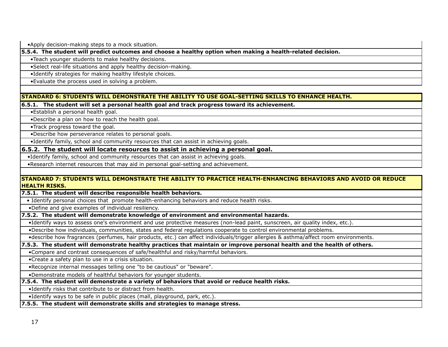•Apply decision-making steps to a mock situation.

**5.5.4. The student will predict outcomes and choose a healthy option when making a health-related decision.**

•Teach younger students to make healthy decisions.

•Select real-life situations and apply healthy decision-making.

•Identify strategies for making healthy lifestyle choices.

•Evaluate the process used in solving a problem.

**STANDARD 6: STUDENTS WILL DEMONSTRATE THE ABILITY TO USE GOAL-SETTING SKILLS TO ENHANCE HEALTH.**

**6.5.1. The student will set a personal health goal and track progress toward its achievement.**

•Establish a personal health goal.

•Describe a plan on how to reach the health goal.

•Track progress toward the goal.

•Describe how perseverance relates to personal goals.

•Identify family, school and community resources that can assist in achieving goals.

**6.5.2. The student will locate resources to assist in achieving a personal goal.**

•Identify family, school and community resources that can assist in achieving goals.

•Research internet resources that may aid in personal goal-setting and achievement.

#### **STANDARD 7: STUDENTS WILL DEMONSTRATE THE ABILITY TO PRACTICE HEALTH-ENHANCING BEHAVIORS AND AVOID OR REDUCE HEALTH RISKS.**

**7.5.1. The student will describe responsible health behaviors.**

• Identify personal choices that promote health-enhancing behaviors and reduce health risks.

•Define and give examples of individual resiliency.

#### **7.5.2. The student will demonstrate knowledge of environment and environmental hazards.**

•Identify ways to assess one's environment and use protective measures (non-lead paint, sunscreen, air quality index, etc.).

•Describe how individuals, communities, states and federal regulations cooperate to control environmental problems.

•describe how fragrances (perfumes, hair products, etc.) can affect individuals/trigger allergies & asthma/affect room environments.

#### **7.5.3. The student will demonstrate healthy practices that maintain or improve personal health and the health of others.**

•Compare and contrast consequences of safe/healthful and risky/harmful behaviors.

•Create a safety plan to use in a crisis situation.

•Recognize internal messages telling one "to be cautious" or "beware".

•Demonstrate models of healthful behaviors for younger students.

#### **7.5.4. The student will demonstrate a variety of behaviors that avoid or reduce health risks.**

•Identify risks that contribute to or distract from health.

•Identify ways to be safe in public places (mall, playground, park, etc.).

**7.5.5. The student will demonstrate skills and strategies to manage stress.**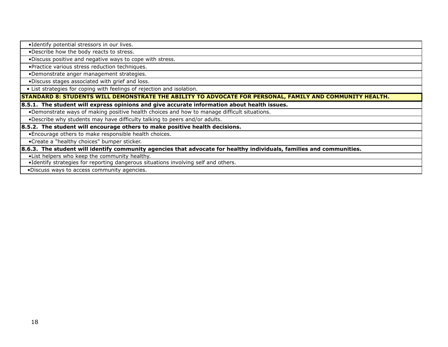•Identify potential stressors in our lives.

•Describe how the body reacts to stress.

•Discuss positive and negative ways to cope with stress.

•Practice various stress reduction techniques.

•Demonstrate anger management strategies.

•Discuss stages associated with grief and loss.

• List strategies for coping with feelings of rejection and isolation.

**STANDARD 8: STUDENTS WILL DEMONSTRATE THE ABILITY TO ADVOCATE FOR PERSONAL, FAMILY AND COMMUNITY HEALTH.**

**8.5.1. The student will express opinions and give accurate information about health issues.**

•Demonstrate ways of making positive health choices and how to manage difficult situations.

•Describe why students may have difficulty talking to peers and/or adults.

**8.5.2. The student will encourage others to make positive health decisions.**

•Encourage others to make responsible health choices.

•Create a "healthy choices" bumper sticker.

**8.6.3. The student will identify community agencies that advocate for healthy individuals, families and communities.**

•List helpers who keep the community healthy.

•Identify strategies for reporting dangerous situations involving self and others.

•Discuss ways to access community agencies.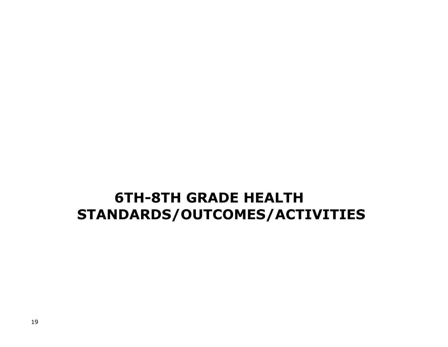## **6TH-8TH GRADE HEALTH STANDARDS/OUTCOMES/ACTIVITIES**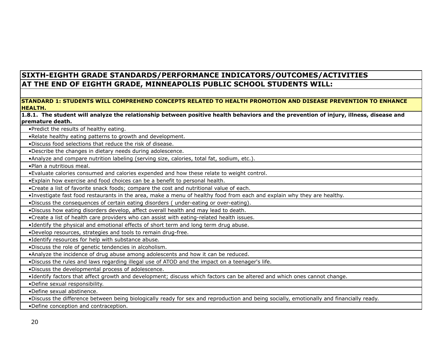### **SIXTH-EIGHTH GRADE STANDARDS/PERFORMANCE INDICATORS/OUTCOMES/ACTIVITIES AT THE END OF EIGHTH GRADE, MINNEAPOLIS PUBLIC SCHOOL STUDENTS WILL:**

#### **STANDARD 1: STUDENTS WILL COMPREHEND CONCEPTS RELATED TO HEALTH PROMOTION AND DISEASE PREVENTION TO ENHANCE HEALTH.**

**1.8.1. The student will analyze the relationship between positive health behaviors and the prevention of injury, illness, disease and premature death.**

•Predict the results of healthy eating.

•Relate healthy eating patterns to growth and development.

•Discuss food selections that reduce the risk of disease.

•Describe the changes in dietary needs during adolescence.

•Analyze and compare nutrition labeling (serving size, calories, total fat, sodium, etc.).

•Plan a nutritious meal.

•Evaluate calories consumed and calories expended and how these relate to weight control.

•Explain how exercise and food choices can be a benefit to personal health.

•Create a list of favorite snack foods; compare the cost and nutritional value of each.

•Investigate fast food restaurants in the area, make a menu of healthy food from each and explain why they are healthy.

•Discuss the consequences of certain eating disorders ( under-eating or over-eating).

•Discuss how eating disorders develop, affect overall health and may lead to death.

•Create a list of health care providers who can assist with eating-related health issues.

•Identify the physical and emotional effects of short term and long term drug abuse.

•Develop resources, strategies and tools to remain drug-free.

•Identify resources for help with substance abuse.

•Discuss the role of genetic tendencies in alcoholism.

•Analyze the incidence of drug abuse among adolescents and how it can be reduced.

•Discuss the rules and laws regarding illegal use of ATOD and the impact on a teenager's life.

•Discuss the developmental process of adolescence.

•Identify factors that affect growth and development; discuss which factors can be altered and which ones cannot change.

•Define sexual responsibility.

•Define sexual abstinence.

•Discuss the difference between being biologically ready for sex and reproduction and being socially, emotionally and financially ready.

•Define conception and contraception.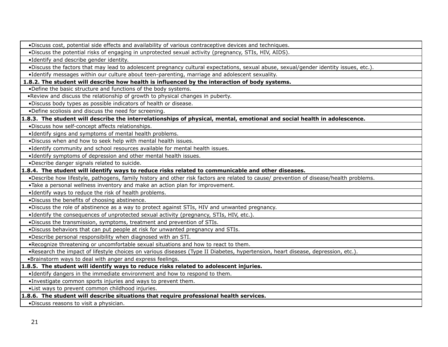•Discuss cost, potential side effects and availability of various contraceptive devices and techniques.

•Discuss the potential risks of engaging in unprotected sexual activity (pregnancy, STIs, HIV, AIDS).

•Identify and describe gender identity.

•Discuss the factors that may lead to adolescent pregnancy cultural expectations, sexual abuse, sexual/gender identity issues, etc.).

•Identify messages within our culture about teen-parenting, marriage and adolescent sexuality.

 **1.8.2. The student will describe how health is influenced by the interaction of body systems.**

•Define the basic structure and functions of the body systems.

•Review and discuss the relationship of growth to physical changes in puberty.

•Discuss body types as possible indicators of health or disease.

•Define scoliosis and discuss the need for screening.

**1.8.3. The student will describe the interrelationships of physical, mental, emotional and social health in adolescence.**

•Discuss how self-concept affects relationships.

•Identify signs and symptoms of mental health problems.

•Discuss when and how to seek help with mental health issues.

•Identify community and school resources available for mental health issues.

•Identify symptoms of depression and other mental health issues.

•Describe danger signals related to suicide.

**1.8.4. The student will identify ways to reduce risks related to communicable and other diseases.**

•Describe how lifestyle, pathogens, family history and other risk factors are related to cause/ prevention of disease/health problems.

•Take a personal wellness inventory and make an action plan for improvement.

•Identify ways to reduce the risk of health problems.

•Discuss the benefits of choosing abstinence.

•Discuss the role of abstinence as a way to protect against STIs, HIV and unwanted pregnancy.

•Identify the consequences of unprotected sexual activity (pregnancy, STIs, HIV, etc.).

•Discuss the transmission, symptoms, treatment and prevention of STIs.

•Discuss behaviors that can put people at risk for unwanted pregnancy and STIs.

•Describe personal responsibility when diagnosed with an STI.

•Recognize threatening or uncomfortable sexual situations and how to react to them.

•Research the impact of lifestyle choices on various diseases (Type II Diabetes, hypertension, heart disease, depression, etc.).

•Brainstorm ways to deal with anger and express feelings.

#### **1.8.5. The student will identify ways to reduce risks related to adolescent injuries.**

•Identify dangers in the immediate environment and how to respond to them.

•Investigate common sports injuries and ways to prevent them.

•List ways to prevent common childhood injuries.

**1.8.6. The student will describe situations that require professional health services.**

•Discuss reasons to visit a physician.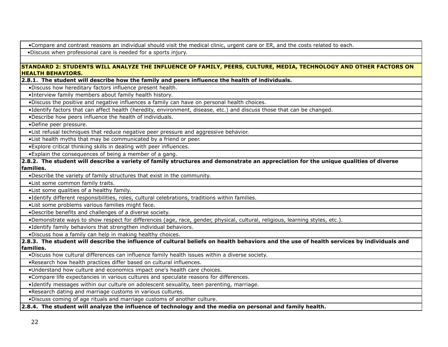•Compare and contrast reasons an individual should visit the medical clinic, urgent care or ER, and the costs related to each.

•Discuss when professional care is needed for a sports injury.

#### **STANDARD 2: STUDENTS WILL ANALYZE THE INFLUENCE OF FAMILY, PEERS, CULTURE, MEDIA, TECHNOLOGY AND OTHER FACTORS ON HEALTH BEHAVIORS.**

**2.8.1. The student will describe how the family and peers influence the health of individuals.**

•Discuss how hereditary factors influence present health.

•Interview family members about family health history.

•Discuss the positive and negative influences a family can have on personal health choices.

•Identify factors that can affect health (heredity, environment, disease, etc.) and discuss those that can be changed.

•Describe how peers influence the health of individuals.

•Define peer pressure.

•List refusal techniques that reduce negative peer pressure and aggressive behavior.

•List health myths that may be communicated by a friend or peer.

•Explore critical thinking skills in dealing with peer influences.

•Explain the consequences of being a member of a gang.

**2.8.2. The student will describe a variety of family structures and demonstrate an appreciation for the unique qualities of diverse families.**

•Describe the variety of family structures that exist in the community.

•List some common family traits.

•List some qualities of a healthy family.

•Identify different responsibilities, roles, cultural celebrations, traditions within families.

•List some problems various families might face.

•Describe benefits and challenges of a diverse society.

•Demonstrate ways to show respect for differences (age, race, gender, physical, cultural, religious, learning styles, etc.).

•Identify family behaviors that strengthen individual behaviors.

•Discuss how a family can help in making healthy choices.

**2.8.3. The student will describe the influence of cultural beliefs on health behaviors and the use of health services by individuals and families.**

•Discuss how cultural differences can influence family health issues within a diverse society.

•Research how health practices differ based on cultural influences.

•Understand how culture and economics impact one's health care choices.

•Compare life expectancies in various cultures and speculate reasons for differences.

•Identify messages within our culture on adolescent sexuality, teen parenting, marriage.

•Research dating and marriage customs in various cultures.

•Discuss coming of age rituals and marriage customs of another culture.

**2.8.4. The student will analyze the influence of technology and the media on personal and family health.**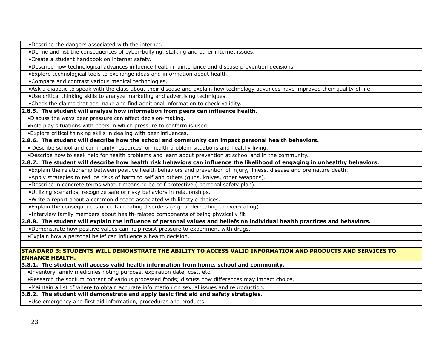•Describe the dangers associated with the internet.

•Define and list the consequences of cyber-bullying, stalking and other internet issues.

•Create a student handbook on internet safety.

•Describe how technological advances influence health maintenance and disease prevention decisions.

•Explore technological tools to exchange ideas and information about health.

•Compare and contrast various medical technologies.

•Ask a diabetic to speak with the class about their disease and explain how technology advances have improved their quality of life.

•Use critical thinking skills to analyze marketing and advertising techniques.

•Check the claims that ads make and find additional information to check validity.

**2.8.5. The student will analyze how information from peers can influence health.**

•Discuss the ways peer pressure can affect decision-making.

•Role play situations with peers in which pressure to conform is used.

•Explore critical thinking skills in dealing with peer influences.

#### **2.8.6. The student will describe how the school and community can impact personal health behaviors.**

• Describe school and community resources for health problem situations and healthy living.

•Describe how to seek help for health problems and learn about prevention at school and in the community.

#### **2.8.7. The student will describe how health risk behaviors can influence the likelihood of engaging in unhealthy behaviors.**

•Explain the relationship between positive health behaviors and prevention of injury, illness, disease and premature death.

•Apply strategies to reduce risks of harm to self and others (guns, knives, other weapons).

•Describe in concrete terms what it means to be self protective ( personal safety plan).

•Utilizing scenarios, recognize safe or risky behaviors in relationships.

•Write a report about a common disease associated with lifestyle choices.

•Explain the consequences of certain eating disorders (e.g. under-eating or over-eating).

•Interview family members about health-related components of being physically fit.

**2.8.8. The student will explain the influence of personal values and beliefs on individual health practices and behaviors.**

•Demonstrate how positive values can help resist pressure to experiment with drugs.

•Explain how a personal belief can influence a health decision.

#### **STANDARD 3: STUDENTS WILL DEMONSTRATE THE ABILITY TO ACCESS VALID INFORMATION AND PRODUCTS AND SERVICES TO ENHANCE HEALTH.**

**3.8.1. The student will access valid health information from home, school and community.**

•Inventory family medicines noting purpose, expiration date, cost, etc.

•Research the sodium content of various processed foods; discuss how differences may impact choice.

•Maintain a list of where to obtain accurate information on sexual issues and reproduction.

**3.8.2. The student will demonstrate and apply basic first aid and safety strategies.**

•Use emergency and first aid information, procedures and products.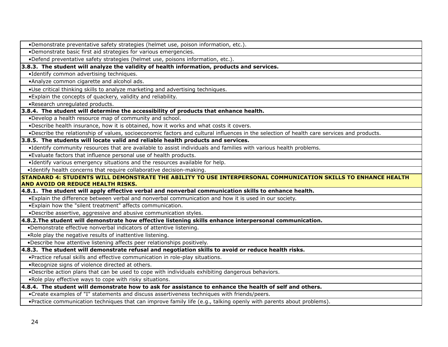•Demonstrate preventative safety strategies (helmet use, poison information, etc.).

•Demonstrate basic first aid strategies for various emergencies.

•Defend preventative safety strategies (helmet use, poisons information, etc.).

**3.8.3. The student will analyze the validity of health information, products and services.**

•Identify common advertising techniques.

•Analyze common cigarette and alcohol ads.

•Use critical thinking skills to analyze marketing and advertising techniques.

•Explain the concepts of quackery, validity and reliability.

•Research unregulated products.

**3.8.4. The student will determine the accessibility of products that enhance health.**

•Develop a health resource map of community and school.

•Describe health insurance, how it is obtained, how it works and what costs it covers.

•Describe the relationship of values, socioeconomic factors and cultural influences in the selection of health care services and products.

**3.8.5. The students will locate valid and reliable health products and services.** 

•Identify community resources that are available to assist individuals and families with various health problems.

•Evaluate factors that influence personal use of health products.

•Identify various emergency situations and the resources available for help.

•Identify health concerns that require collaborative decision-making.

**STANDARD 4: STUDENTS WILL DEMONSTRATE THE ABILITY TO USE INTERPERSONAL COMMUNICATION SKILLS TO ENHANCE HEALTH AND AVOID OR REDUCE HEALTH RISKS.**

**4.8.1. The student will apply effective verbal and nonverbal communication skills to enhance health.**

•Explain the difference between verbal and nonverbal communication and how it is used in our society.

•Explain how the "silent treatment" affects communication.

•Describe assertive, aggressive and abusive communication styles.

**4.8.2.The student will demonstrate how effective listening skills enhance interpersonal communication.**

•Demonstrate effective nonverbal indicators of attentive listening.

•Role play the negative results of inattentive listening.

•Describe how attentive listening affects peer relationships positively.

**4.8.3. The student will demonstrate refusal and negotiation skills to avoid or reduce health risks.**

•Practice refusal skills and effective communication in role-play situations.

•Recognize signs of violence directed at others.

•Describe action plans that can be used to cope with individuals exhibiting dangerous behaviors.

•Role play effective ways to cope with risky situations.

#### **4.8.4. The student will demonstrate how to ask for assistance to enhance the health of self and others.**

•Create examples of "I" statements and discuss assertiveness techniques with friends/peers.

•Practice communication techniques that can improve family life (e.g., talking openly with parents about problems).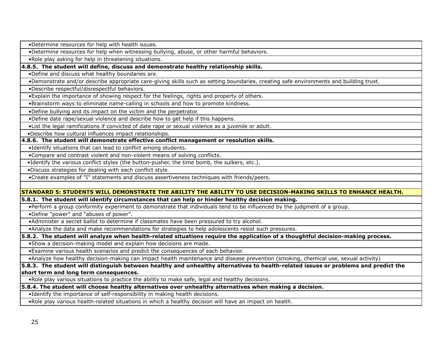•Determine resources for help with health issues.

•Determine resources for help when witnessing bullying, abuse, or other harmful behaviors.

•Role play asking for help in threatening situations.

**4.8.5. The student will define, discuss and demonstrate healthy relationship skills.**

•Define and discuss what healthy boundaries are.

•Demonstrate and/or describe appropriate care-giving skills such as setting boundaries, creating safe environments and building trust.

•Describe respectful/disrespectful behaviors.

•Explain the importance of showing respect for the feelings, rights and property of others.

•Brainstorm ways to eliminate name-calling in schools and how to promote kindness.

•Define bullying and its impact on the victim and the perpetrator.

•Define date rape/sexual violence and describe how to get help if this happens.

•List the legal ramifications if convicted of date rape or sexual violence as a juvenile or adult.

•Describe how cultural influences impact relationships.

#### **4.8.6. The student will demonstrate effective conflict management or resolution skills.**

•Identify situations that can lead to conflict among students.

•Compare and contrast violent and non-violent means of solving conflicts.

•Identify the various conflict styles (the button-pusher, the time bomb, the sulkers, etc.).

•Discuss strategies for dealing with each conflict style.

•Create examples of "I" statements and discuss assertiveness techniques with friends/peers.

#### **STANDARD 5: STUDENTS WILL DEMONSTRATE THE ABILITY THE ABILITY TO USE DECISION-MAKING SKILLS TO ENHANCE HEALTH.**

#### **5.8.1. The student will identify circumstances that can help or hinder healthy decision making.**

•Perform a group conformity experiment to demonstrate that individuals tend to be influenced by the judgment of a group.

•Define "power" and "abuses of power".

•Administer a secret ballot to determine if classmates have been pressured to try alcohol.

•Analyze the data and make recommendations for strategies to help adolescents resist such pressures.

**5.8.2. The student will analyze when health-related situations require the application of a thoughtful decision-making process.**

•Show a decision-making model and explain how decisions are made.

•Examine various health scenarios and predict the consequences of each behavior.

•Analyze how healthy decision-making can impact health maintenance and disease prevention (smoking, chemical use, sexual activity)

#### **5.8.3. The student will distinguish between healthy and unhealthy alternatives to health-related issues or problems and predict the short term and long term consequences.**

•Role play various situations to practice the ability to make safe, legal and healthy decisions.

**5.8.4. The student will choose healthy alternatives over unhealthy alternatives when making a decision.**

•Identify the importance of self-responsibility in making health decisions.

•Role play various health-related situations in which a healthy decision will have an impact on health.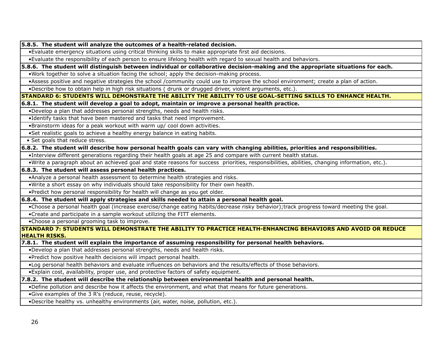**5.8.5. The student will analyze the outcomes of a health-related decision.**

•Evaluate emergency situations using critical thinking skills to make appropriate first aid decisions.

•Evaluate the responsibility of each person to ensure lifelong health with regard to sexual health and behaviors.

**5.8.6. The student will distinguish between individual or collaborative decision-making and the appropriate situations for each.** 

•Work together to solve a situation facing the school; apply the decision-making process.

•Assess positive and negative strategies the school /community could use to improve the school environment; create a plan of action.

•Describe how to obtain help in high risk situations ( drunk or drugged driver, violent arguments, etc.).

**STANDARD 6: STUDENTS WILL DEMONSTRATE THE ABILITY THE ABILITY TO USE GOAL-SETTING SKILLS TO ENHANCE HEALTH.**

**6.8.1. The student will develop a goal to adopt, maintain or improve a personal health practice.**

•Develop a plan that addresses personal strengths, needs and health risks.

•Identify tasks that have been mastered and tasks that need improvement.

•Brainstorm ideas for a peak workout with warm up/ cool down activities.

•Set realistic goals to achieve a healthy energy balance in eating habits.

• Set goals that reduce stress.

#### **6.8.2. The student will describe how personal health goals can vary with changing abilities, priorities and responsibilities.**

•Interview different generations regarding their health goals at age 25 and compare with current health status.

•Write a paragraph about an achieved goal and state reasons for success priorities, responsibilities, abilities, changing information, etc.).

#### **6.8.3. The student will assess personal health practices.**

•Analyze a personal health assessment to determine health strategies and risks.

•Write a short essay on why individuals should take responsibility for their own health.

•Predict how personal responsibility for health will change as you get older.

**6.8.4. The student will apply strategies and skills needed to attain a personal health goal.**

•Choose a personal health goal (increase exercise/change eating habits/decrease risky behavior);track progress toward meeting the goal.

•Create and participate in a sample workout utilizing the FITT elements.

•Choose a personal grooming task to improve.

**STANDARD 7: STUDENTS WILL DEMONSTRATE THE ABILITY TO PRACTICE HEALTH-ENHANCING BEHAVIORS AND AVOID OR REDUCE HEALTH RISKS.**

**7.8.1. The student will explain the importance of assuming responsibility for personal health behaviors.**

•Develop a plan that addresses personal strengths, needs and health risks.

•Predict how positive health decisions will impact personal health.

•Log personal health behaviors and evaluate influences on behaviors and the results/effects of those behaviors.

•Explain cost, availability, proper use, and protective factors of safety equipment.

**7.8.2. The student will describe the relationship between environmental health and personal health.** 

•Define pollution and describe how it affects the environment, and what that means for future generations.

•Give examples of the 3 R's (reduce, reuse, recycle).

•Describe healthy vs. unhealthy environments (air, water, noise, pollution, etc.).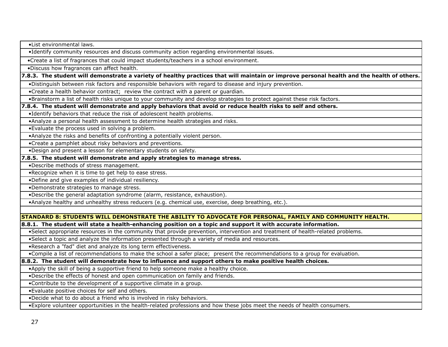•List environmental laws.

•Identify community resources and discuss community action regarding environmental issues.

•Create a list of fragrances that could impact students/teachers in a school environment.

•Discuss how fragrances can affect health.

#### **7.8.3. The student will demonstrate a variety of healthy practices that will maintain or improve personal health and the health of others.**

•Distinguish between risk factors and responsible behaviors with regard to disease and injury prevention.

•Create a health behavior contract; review the contract with a parent or guardian.

•Brainstorm a list of health risks unique to your community and develop strategies to protect against these risk factors.

#### **7.8.4. The student will demonstrate and apply behaviors that avoid or reduce health risks to self and others.**

•Identify behaviors that reduce the risk of adolescent health problems.

•Analyze a personal health assessment to determine health strategies and risks.

•Evaluate the process used in solving a problem.

•Analyze the risks and benefits of confronting a potentially violent person.

•Create a pamphlet about risky behaviors and preventions.

•Design and present a lesson for elementary students on safety.

#### **7.8.5. The student will demonstrate and apply strategies to manage stress.**

•Describe methods of stress management.

•Recognize when it is time to get help to ease stress.

•Define and give examples of individual resiliency.

•Demonstrate strategies to manage stress.

•Describe the general adaptation syndrome (alarm, resistance, exhaustion).

•Analyze healthy and unhealthy stress reducers (e.g. chemical use, exercise, deep breathing, etc.).

#### **STANDARD 8: STUDENTS WILL DEMONSTRATE THE ABILITY TO ADVOCATE FOR PERSONAL, FAMILY AND COMMUNITY HEALTH.**

**8.8.1. The student will state a health-enhancing position on a topic and support it with accurate information.**

•Select appropriate resources in the community that provide prevention, intervention and treatment of health-related problems.

•Select a topic and analyze the information presented through a variety of media and resources.

•Research a "fad" diet and analyze its long term effectiveness.

•Compile a list of recommendations to make the school a safer place; present the recommendations to a group for evaluation.

**8.8.2. The student will demonstrate how to influence and support others to make positive health choices.**

•Apply the skill of being a supportive friend to help someone make a healthy choice.

•Describe the effects of honest and open communication on family and friends.

•Contribute to the development of a supportive climate in a group.

•Evaluate positive choices for self and others.

•Decide what to do about a friend who is involved in risky behaviors.

•Explore volunteer opportunities in the health-related professions and how these jobs meet the needs of health consumers.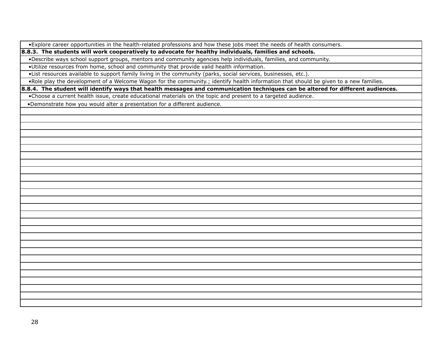•Explore career opportunities in the health-related professions and how these jobs meet the needs of health consumers.

**8.8.3. The students will work cooperatively to advocate for healthy individuals, families and schools.**

•Describe ways school support groups, mentors and community agencies help individuals, families, and community.

•Utilize resources from home, school and community that provide valid health information.

•List resources available to support family living in the community (parks, social services, businesses, etc.).

•Role play the development of a Welcome Wagon for the community.; identify health information that should be given to a new families.

**8.8.4. The student will identify ways that health messages and communication techniques can be altered for different audiences.**

•Choose a current health issue, create educational materials on the topic and present to a targeted audience.

•Demonstrate how you would alter a presentation for a different audience.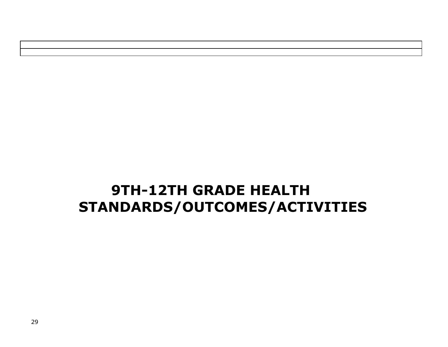# **9TH-12TH GRADE HEALTH STANDARDS/OUTCOMES/ACTIVITIES**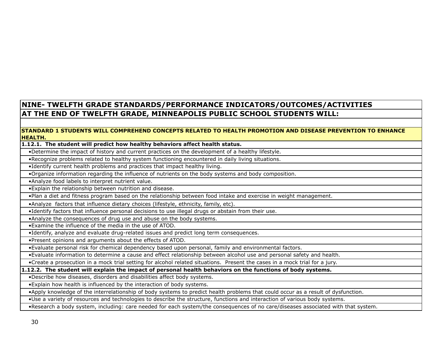### **NINE- TWELFTH GRADE STANDARDS/PERFORMANCE INDICATORS/OUTCOMES/ACTIVITIES AT THE END OF TWELFTH GRADE, MINNEAPOLIS PUBLIC SCHOOL STUDENTS WILL:**

#### **STANDARD 1 STUDENTS WILL COMPREHEND CONCEPTS RELATED TO HEALTH PROMOTION AND DISEASE PREVENTION TO ENHANCE HEALTH.**

#### **1.12.1. The student will predict how healthy behaviors affect health status.**

•Determine the impact of history and current practices on the development of a healthy lifestyle.

•Recognize problems related to healthy system functioning encountered in daily living situations.

•Identify current health problems and practices that impact healthy living.

•Organize information regarding the influence of nutrients on the body systems and body composition.

•Analyze food labels to interpret nutrient value.

•Explain the relationship between nutrition and disease.

•Plan a diet and fitness program based on the relationship between food intake and exercise in weight management.

•Analyze factors that influence dietary choices (lifestyle, ethnicity, family, etc).

•Identify factors that influence personal decisions to use illegal drugs or abstain from their use.

•Analyze the consequences of drug use and abuse on the body systems.

•Examine the influence of the media in the use of ATOD.

•Identify, analyze and evaluate drug-related issues and predict long term consequences.

•Present opinions and arguments about the effects of ATOD.

•Evaluate personal risk for chemical dependency based upon personal, family and environmental factors.

•Evaluate information to determine a cause and effect relationship between alcohol use and personal safety and health.

•Create a prosecution in a mock trial setting for alcohol related situations. Present the cases in a mock trial for a jury.

**1.12.2. The student will explain the impact of personal health behaviors on the functions of body systems.**

•Describe how diseases, disorders and disabilities affect body systems.

•Explain how health is influenced by the interaction of body systems.

•Apply knowledge of the interrelationship of body systems to predict health problems that could occur as a result of dysfunction.

•Use a variety of resources and technologies to describe the structure, functions and interaction of various body systems.

•Research a body system, including: care needed for each system/the consequences of no care/diseases associated with that system.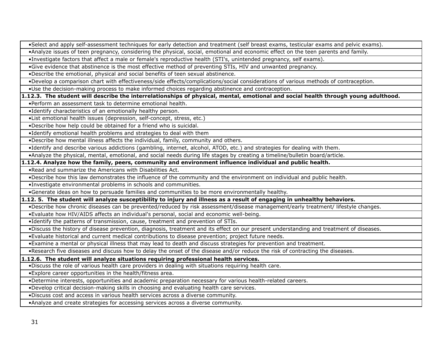•Select and apply self-assessment techniques for early detection and treatment (self breast exams, testicular exams and pelvic exams).

•Analyze issues of teen pregnancy, considering the physical, social, emotional and economic effect on the teen parents and family.

•Investigate factors that affect a male or female's reproductive health (STI's, unintended pregnancy, self exams).

•Give evidence that abstinence is the most effective method of preventing STIs, HIV and unwanted pregnancy.

•Describe the emotional, physical and social benefits of teen sexual abstinence.

•Develop a comparison chart with effectiveness/side effects/complications/social considerations of various methods of contraception.

•Use the decision-making process to make informed choices regarding abstinence and contraception.

**1.12.3. The student will describe the interrelationships of physical, mental, emotional and social health through young adulthood.**

•Perform an assessment task to determine emotional health.

•Identify characteristics of an emotionally healthy person.

•List emotional health issues (depression, self-concept, stress, etc.)

•Describe how help could be obtained for a friend who is suicidal.

•Identify emotional health problems and strategies to deal with them

•Describe how mental illness affects the individual, family, community and others.

•Identify and describe various addictions (gambling, internet, alcohol, ATOD, etc.) and strategies for dealing with them.

•Analyze the physical, mental, emotional, and social needs during life stages by creating a timeline/bulletin board/article.

**1.12.4. Analyze how the family, peers, community and environment influence individual and public health.**

•Read and summarize the Americans with Disabilities Act.

•Describe how this law demonstrates the influence of the community and the environment on individual and public health.

•Investigate environmental problems in schools and communities.

•Generate ideas on how to persuade families and communities to be more environmentally healthy.

#### **1.12. 5. The student will analyze susceptibility to injury and illness as a result of engaging in unhealthy behaviors.**

•Describe how chronic diseases can be prevented/reduced by risk assessment/disease management/early treatment/ lifestyle changes.

•Evaluate how HIV/AIDS affects an individual's personal, social and economic well-being.

•Identify the patterns of transmission, cause, treatment and prevention of STIs.

•Discuss the history of disease prevention, diagnosis, treatment and its effect on our present understanding and treatment of diseases.

•Evaluate historical and current medical contributions to disease prevention; project future needs.

•Examine a mental or physical illness that may lead to death and discuss strategies for prevention and treatment.

•Research five diseases and discuss how to delay the onset of the disease and/or reduce the risk of contracting the diseases.

#### **1.12.6. The student will analyze situations requiring professional health services.**

•Discuss the role of various health care providers in dealing with situations requiring health care.

•Explore career opportunities in the health/fitness area.

•Determine interests, opportunities and academic preparation necessary for various health-related careers.

•Develop critical decision-making skills in choosing and evaluating health care services.

•Discuss cost and access in various health services across a diverse community.

•Analyze and create strategies for accessing services across a diverse community.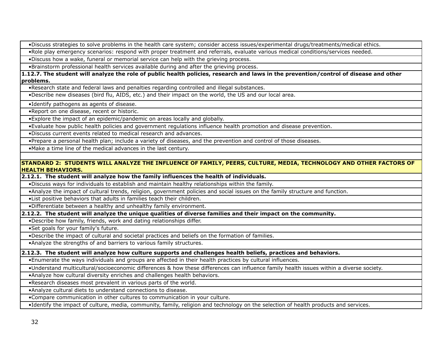•Discuss strategies to solve problems in the health care system; consider access issues/experimental drugs/treatments/medical ethics.

•Role play emergency scenarios: respond with proper treatment and referrals, evaluate various medical conditions/services needed.

•Discuss how a wake, funeral or memorial service can help with the grieving process.

•Brainstorm professional health services available during and after the grieving process.

**1.12.7. The student will analyze the role of public health policies, research and laws in the prevention/control of disease and other problems.**

•Research state and federal laws and penalties regarding controlled and illegal substances.

•Describe new diseases (bird flu, AIDS, etc.) and their impact on the world, the US and our local area.

•Identify pathogens as agents of disease.

•Report on one disease, recent or historic.

•Explore the impact of an epidemic/pandemic on areas locally and globally.

•Evaluate how public health policies and government regulations influence health promotion and disease prevention.

•Discuss current events related to medical research and advances.

•Prepare a personal health plan; include a variety of diseases, and the prevention and control of those diseases.

•Make a time line of the medical advances in the last century.

#### **STANDARD 2: STUDENTS WILL ANALYZE THE INFLUENCE OF FAMILY, PEERS, CULTURE, MEDIA, TECHNOLOGY AND OTHER FACTORS OF HEALTH BEHAVIORS.**

**2.12.1. The student will analyze how the family influences the health of individuals.**

•Discuss ways for individuals to establish and maintain healthy relationships within the family.

•Analyze the impact of cultural trends, religion, government policies and social issues on the family structure and function.

•List positive behaviors that adults in families teach their children.

•Differentiate between a healthy and unhealthy family environment.

**2.12.2. The student will analyze the unique qualities of diverse families and their impact on the community.**

•Describe how family, friends, work and dating relationships differ.

•Set goals for your family's future.

•Describe the impact of cultural and societal practices and beliefs on the formation of families.

•Analyze the strengths of and barriers to various family structures.

**2.12.3. The student will analyze how culture supports and challenges health beliefs, practices and behaviors.**

•Enumerate the ways individuals and groups are affected in their health practices by cultural influences.

•Understand multicultural/socioeconomic differences & how these differences can influence family health issues within a diverse society.

•Analyze how cultural diversity enriches and challenges health behaviors.

•Research diseases most prevalent in various parts of the world.

•Analyze cultural diets to understand connections to disease.

•Compare communication in other cultures to communication in your culture.

•Identify the impact of culture, media, community, family, religion and technology on the selection of health products and services.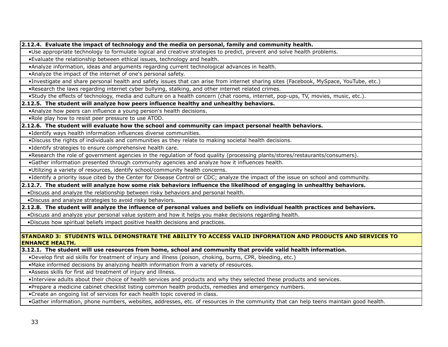**2.12.4. Evaluate the impact of technology and the media on personal, family and community health.**

•Use appropriate technology to formulate logical and creative strategies to predict, prevent and solve health problems.

•Evaluate the relationship between ethical issues, technology and health.

•Analyze information, ideas and arguments regarding current technological advances in health.

•Analyze the impact of the internet of one's personal safety.

•Investigate and share personal health and safety issues that can arise from internet sharing sites (Facebook, MySpace, YouTube, etc.)

•Research the laws regarding internet cyber bullying, stalking, and other internet related crimes.

•Study the effects of technology, media and culture on a health concern (chat rooms, internet, pop-ups, TV, movies, music, etc.).

**2.12.5. The student will analyze how peers influence healthy and unhealthy behaviors.**

•Analyze how peers can influence a young person's health decisions.

•Role play how to resist peer pressure to use ATOD.

**2.12.6. The student will evaluate how the school and community can impact personal health behaviors.**

•Identify ways health information influences diverse communities.

•Discuss the rights of individuals and communities as they relate to making societal health decisions.

•Identify strategies to ensure comprehensive health care.

•Research the role of government agencies in the regulation of food quality (processing plants/stores/restaurants/consumers).

•Gather information presented through community agencies and analyze how it influences health.

•Utilizing a variety of resources, identify school/community health concerns.

•Identify a priority issue cited by the Center for Disease Control or CDC; analyze the impact of the issue on school and community.

**2.12.7. The student will analyze how some risk behaviors influence the likelihood of engaging in unhealthy behaviors.**

•Discuss and analyze the relationship between risky behaviors and personal health.

•Discuss and analyze strategies to avoid risky behaviors.

**2.12.8. The student will analyze the influence of personal values and beliefs on individual health practices and behaviors.**

•Discuss and analyze your personal value system and how it helps you make decisions regarding health.

•Discuss how spiritual beliefs impact positive health decisions and practices.

**STANDARD 3: STUDENTS WILL DEMONSTRATE THE ABILITY TO ACCESS VALID INFORMATION AND PRODUCTS AND SERVICES TO ENHANCE HEALTH.**

**3.12.1. The student will use resources from home, school and community that provide valid health information.**

•Develop first aid skills for treatment of injury and illness (poison, choking, burns, CPR, bleeding, etc.)

•Make informed decisions by analyzing health information from a variety of resources.

•Assess skills for first aid treatment of injury and illness.

•Interview adults about their choice of health services and products and why they selected these products and services.

•Prepare a medicine cabinet checklist listing common health products, remedies and emergency numbers.

•Create an ongoing list of services for each health topic covered in class.

•Gather information, phone numbers, websites, addresses, etc. of resources in the community that can help teens maintain good health.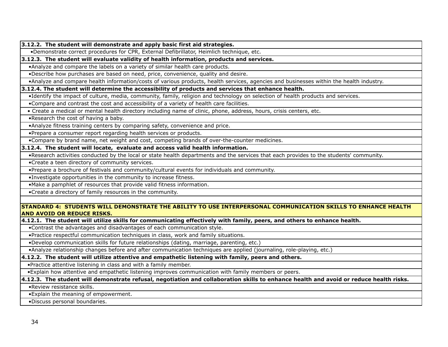**3.12.2. The student will demonstrate and apply basic first aid strategies.**

•Demonstrate correct procedures for CPR, External Defibrillator, Heimlich technique, etc.

**3.12.3. The student will evaluate validity of health information, products and services.**

•Analyze and compare the labels on a variety of similar health care products.

•Describe how purchases are based on need, price, convenience, quality and desire.

•Analyze and compare health information/costs of various products, health services, agencies and businesses within the health industry.

**3.12.4. The student will determine the accessibility of products and services that enhance health.**

•Identify the impact of culture, media, community, family, religion and technology on selection of health products and services.

•Compare and contrast the cost and accessibility of a variety of health care facilities.

• Create a medical or mental health directory including name of clinic, phone, address, hours, crisis centers, etc.

•Research the cost of having a baby.

•Analyze fitness training centers by comparing safety, convenience and price.

•Prepare a consumer report regarding health services or products.

•Compare by brand name, net weight and cost, competing brands of over-the-counter medicines.

#### **3.12.4. The student will locate, evaluate and access valid health information.**

•Research activities conducted by the local or state health departments and the services that each provides to the students' community.

•Create a teen directory of community services.

•Prepare a brochure of festivals and community/cultural events for individuals and community.

•Investigate opportunities in the community to increase fitness.

•Make a pamphlet of resources that provide valid fitness information.

•Create a directory of family resources in the community.

#### **STANDARD 4: STUDENTS WILL DEMONSTRATE THE ABILITY TO USE INTERPERSONAL COMMUNICATION SKILLS TO ENHANCE HEALTH AND AVOID OR REDUCE RISKS.**

#### **4.12.1. The student will utilize skills for communicating effectively with family, peers, and others to enhance health.**

•Contrast the advantages and disadvantages of each communication style.

•Practice respectful communication techniques in class, work and family situations.

•Develop communication skills for future relationships (dating, marriage, parenting, etc.)

•Analyze relationship changes before and after communication techniques are applied (journaling, role-playing, etc.)

#### **4.12.2. The student will utilize attentive and empathetic listening with family, peers and others.**

•Practice attentive listening in class and with a family member.

•Explain how attentive and empathetic listening improves communication with family members or peers.

#### **4.12.3. The student will demonstrate refusal, negotiation and collaboration skills to enhance health and avoid or reduce health risks.**

•Review resistance skills.

•Explain the meaning of empowerment.

•Discuss personal boundaries.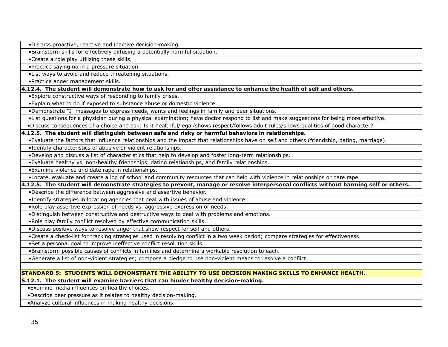•Discuss proactive, reactive and inactive decision-making.

•Brainstorm skills for effectively diffusing a potentially harmful situation.

•Create a role play utilizing these skills.

•Practice saying no in a pressure situation.

•List ways to avoid and reduce threatening situations.

•Practice anger management skills.

**4.12.4. The student will demonstrate how to ask for and offer assistance to enhance the health of self and others.**

•Explore constructive ways of responding to family crises.

•Explain what to do if exposed to substance abuse or domestic violence.

•Demonstrate "I" messages to express needs, wants and feelings in family and peer situations.

•List questions for a physician during a physical examination; have doctor respond to list and make suggestions for being more effective.

•Discuss consequences of a choice and ask: Is it healthful/legal/shows respect/follows adult rules/shows qualities of good character?

**4.12.5. The student will distinguish between safe and risky or harmful behaviors in relationships.**

•Evaluate the factors that influence relationships and the impact that relationships have on self and others (friendship, dating, marriage).

•Identify characteristics of abusive or violent relationships.

•Develop and discuss a list of characteristics that help to develop and foster long-term relationships.

•Evaluate healthy vs. non-healthy friendships, dating relationships, and family relationships.

•Examine violence and date rape in relationships.

•Locate, evaluate and create a log of school and community resources that can help with violence in relationships or date rape .

**4.12.5. The student will demonstrate strategies to prevent, manage or resolve interpersonal conflicts without harming self or others.**

•Describe the difference between aggressive and assertive behavior.

•Identify strategies in locating agencies that deal with issues of abuse and violence.

•Role play assertive expression of needs vs. aggressive expression of needs.

•Distinguish between constructive and destructive ways to deal with problems and emotions.

•Role play family conflict resolved by effective communication skills.

•Discuss positive ways to resolve anger that show respect for self and others.

•Create a check-list for tracking strategies used in resolving conflict in a two week period; compare strategies for effectiveness.

•Set a personal goal to improve ineffective conflict resolution skills.

•Brainstorm possible causes of conflicts in families and determine a workable resolution to each.

•Generate a list of non-violent strategies; compose a pledge to use non-violent means to resolve a conflict.

#### **STANDARD 5: STUDENTS WILL DEMONSTRATE THE ABILITY TO USE DECISION MAKING SKILLS TO ENHANCE HEALTH.**

**5.12.1. The student will examine barriers that can hinder healthy decision-making.**

•Examine media influences on healthy choices.

•Describe peer pressure as it relates to healthy decision-making.

•Analyze cultural influences in making healthy decisions.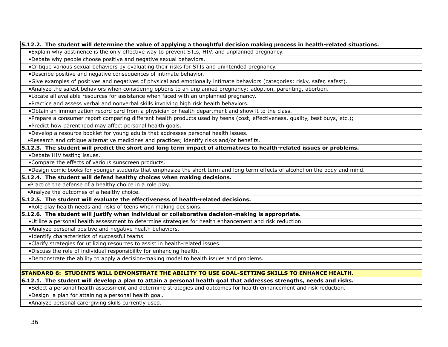**5.12.2. The student will determine the value of applying a thoughtful decision making process in health-related situations.** 

•Explain why abstinence is the only effective way to prevent STIs, HIV, and unplanned pregnancy.

•Debate why people choose positive and negative sexual behaviors.

•Critique various sexual behaviors by evaluating their risks for STIs and unintended pregnancy.

•Describe positive and negative consequences of intimate behavior.

•Give examples of positives and negatives of physical and emotionally intimate behaviors (categories: risky, safer, safest).

•Analyze the safest behaviors when considering options to an unplanned pregnancy: adoption, parenting, abortion.

•Locate all available resources for assistance when faced with an unplanned pregnancy.

•Practice and assess verbal and nonverbal skills involving high risk health behaviors.

•Obtain an immunization record card from a physician or health department and show it to the class.

•Prepare a consumer report comparing different health products used by teens (cost, effectiveness, quality, best buys, etc.);

•Predict how parenthood may affect personal health goals.

•Develop a resource booklet for young adults that addresses personal health issues.

•Research and critique alternative medicines and practices; identify risks and/or benefits.

#### **5.12.3. The student will predict the short and long term impact of alternatives to health-related issues or problems.**

•Debate HIV testing issues.

•Compare the effects of various sunscreen products.

•Design comic books for younger students that emphasize the short term and long term effects of alcohol on the body and mind.

#### **5.12.4. The student will defend healthy choices when making decisions.**

•Practice the defense of a healthy choice in a role play.

•Analyze the outcomes of a healthy choice.

#### **5.12.5. The student will evaluate the effectiveness of health-related decisions.**

•Role play health needs and risks of teens when making decisions.

#### **5.12.6. The student will justify when individual or collaborative decision-making is appropriate.**

•Utilize a personal health assessment to determine strategies for health enhancement and risk reduction.

•Analyze personal positive and negative health behaviors.

•Identify characteristics of successful teams.

•Clarify strategies for utilizing resources to assist in health-related issues.

•Discuss the role of individual responsibility for enhancing health.

•Demonstrate the ability to apply a decision-making model to health issues and problems.

#### **STANDARD 6: STUDENTS WILL DEMONSTRATE THE ABILITY TO USE GOAL-SETTING SKILLS TO ENHANCE HEALTH.**

**6.12.1. The student will develop a plan to attain a personal health goal that addresses strengths, needs and risks.**

•Select a personal health assessment and determine strategies and outcomes for health enhancement and risk reduction.

•Design a plan for attaining a personal health goal.

•Analyze personal care-giving skills currently used.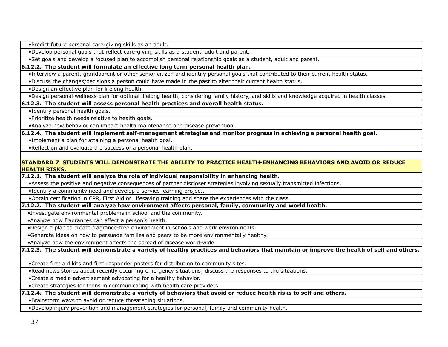•Predict future personal care-giving skills as an adult.

•Develop personal goals that reflect care-giving skills as a student, adult and parent.

•Set goals and develop a focused plan to accomplish personal relationship goals as a student, adult and parent.

**6.12.2. The student will formulate an effective long term personal health plan.**

•Interview a parent, grandparent or other senior citizen and identify personal goals that contributed to their current health status.

•Discuss the changes/decisions a person could have made in the past to alter their current health status.

•Design an effective plan for lifelong health.

•Design personal wellness plan for optimal lifelong health, considering family history, and skills and knowledge acquired in health classes.

#### **6.12.3. The student will assess personal health practices and overall health status.**

•Identify personal health goals.

•Prioritize health needs relative to health goals.

•Analyze how behavior can impact health maintenance and disease prevention.

**6.12.4. The student will implement self-management strategies and monitor progress in achieving a personal health goal.**

•Implement a plan for attaining a personal health goal.

•Reflect on and evaluate the success of a personal health plan.

#### **STANDARD 7 STUDENTS WILL DEMONSTRATE THE ABILITY TO PRACTICE HEALTH-ENHANCING BEHAVIORS AND AVOID OR REDUCE HEALTH RISKS.**

**7.12.1. The student will analyze the role of individual responsibility in enhancing health.**

•Assess the positive and negative consequences of partner discloser strategies involving sexually transmitted infections.

•Identify a community need and develop a service learning project.

•Obtain certification in CPR, First Aid or Lifesaving training and share the experiences with the class.

**7.12.2. The student will analyze how environment affects personal, family, community and world health.**

•Investigate environmental problems in school and the community.

•Analyze how fragrances can affect a person's health.

•Design a plan to create fragrance-free environment in schools and work environments.

•Generate ideas on how to persuade families and peers to be more environmentally healthy.

•Analyze how the environment affects the spread of disease world-wide.

**7.12.3. The student will demonstrate a variety of healthy practices and behaviors that maintain or improve the health of self and others.**

•Create first aid kits and first responder posters for distribution to community sites.

•Read news stories about recently occurring emergency situations; discuss the responses to the situations.

•Create a media advertisement advocating for a healthy behavior.

•Create strategies for teens in communicating with health care providers.

**7.12.4. The student will demonstrate a variety of behaviors that avoid or reduce health risks to self and others.**

•Brainstorm ways to avoid or reduce threatening situations.

•Develop injury prevention and management strategies for personal, family and community health.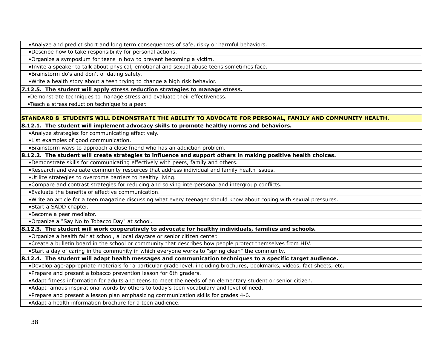•Analyze and predict short and long term consequences of safe, risky or harmful behaviors.

•Describe how to take responsibility for personal actions.

•Organize a symposium for teens in how to prevent becoming a victim.

•Invite a speaker to talk about physical, emotional and sexual abuse teens sometimes face.

•Brainstorm do's and don't of dating safety.

•Write a health story about a teen trying to change a high risk behavior.

**7.12.5. The student will apply stress reduction strategies to manage stress.**

•Demonstrate techniques to manage stress and evaluate their effectiveness.

•Teach a stress reduction technique to a peer.

#### **STANDARD 8 STUDENTS WILL DEMONSTRATE THE ABILITY TO ADVOCATE FOR PERSONAL, FAMILY AND COMMUNITY HEALTH.**

**8.12.1. The student will implement advocacy skills to promote healthy norms and behaviors.**

•Analyze strategies for communicating effectively.

•List examples of good communication.

•Brainstorm ways to approach a close friend who has an addiction problem.

**8.12.2. The student will create strategies to influence and support others in making positive health choices.**

•Demonstrate skills for communicating effectively with peers, family and others.

•Research and evaluate community resources that address individual and family health issues.

•Utilize strategies to overcome barriers to healthy living.

•Compare and contrast strategies for reducing and solving interpersonal and intergroup conflicts.

•Evaluate the benefits of effective communication.

•Write an article for a teen magazine discussing what every teenager should know about coping with sexual pressures.

•Start a SADD chapter.

•Become a peer mediator.

•Organize a "Say No to Tobacco Day" at school.

**8.12.3. The student will work cooperatively to advocate for healthy individuals, families and schools.**

•Organize a health fair at school, a local daycare or senior citizen center.

•Create a bulletin board in the school or community that describes how people protect themselves from HIV.

•Start a day of caring in the community in which everyone works to "spring clean" the community.

#### **8.12.4. The student will adapt health messages and communication techniques to a specific target audience.**

•Develop age-appropriate materials for a particular grade level, including brochures, bookmarks, videos, fact sheets, etc.

•Prepare and present a tobacco prevention lesson for 6th graders.

•Adapt fitness information for adults and teens to meet the needs of an elementary student or senior citizen.

•Adapt famous inspirational words by others to today's teen vocabulary and level of need.

•Prepare and present a lesson plan emphasizing communication skills for grades 4-6.

•Adapt a health information brochure for a teen audience.